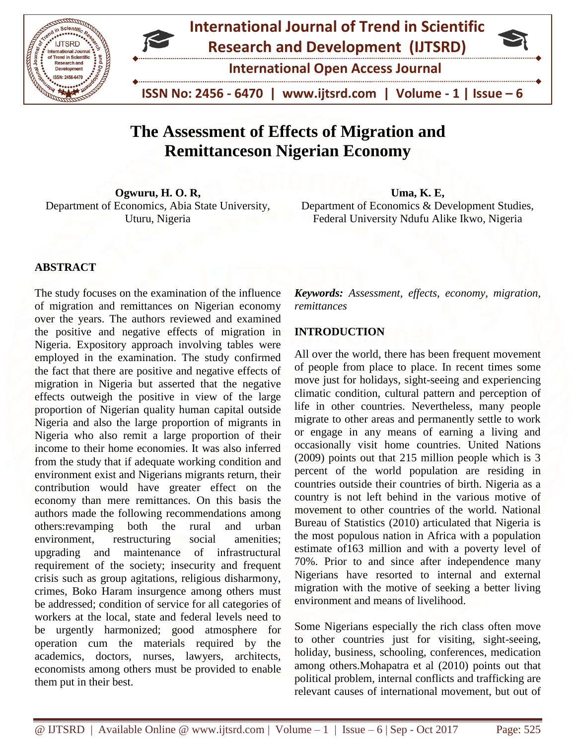



# **The Assessment of Effects of Migration and Remittanceson Nigerian Economy**

**Ogwuru, H. O. R,** Department of Economics, Abia State University, Uturu, Nigeria

**Uma, K. E,** Department of Economics & Development Studies, Federal University Ndufu Alike Ikwo, Nigeria

### **ABSTRACT**

The study focuses on the examination of the influence of migration and remittances on Nigerian economy over the years. The authors reviewed and examined the positive and negative effects of migration in Nigeria. Expository approach involving tables were employed in the examination. The study confirmed the fact that there are positive and negative effects of migration in Nigeria but asserted that the negative effects outweigh the positive in view of the large proportion of Nigerian quality human capital outside Nigeria and also the large proportion of migrants in Nigeria who also remit a large proportion of their income to their home economies. It was also inferred from the study that if adequate working condition and environment exist and Nigerians migrants return, their contribution would have greater effect on the economy than mere remittances. On this basis the authors made the following recommendations among others:revamping both the rural and urban environment, restructuring social amenities; upgrading and maintenance of infrastructural requirement of the society; insecurity and frequent crisis such as group agitations, religious disharmony, crimes, Boko Haram insurgence among others must be addressed; condition of service for all categories of workers at the local, state and federal levels need to be urgently harmonized; good atmosphere for operation cum the materials required by the academics, doctors, nurses, lawyers, architects, economists among others must be provided to enable them put in their best.

*Keywords: Assessment, effects, economy, migration, remittances*

### **INTRODUCTION**

All over the world, there has been frequent movement of people from place to place. In recent times some move just for holidays, sight-seeing and experiencing climatic condition, cultural pattern and perception of life in other countries. Nevertheless, many people migrate to other areas and permanently settle to work or engage in any means of earning a living and occasionally visit home countries. United Nations (2009) points out that 215 million people which is 3 percent of the world population are residing in countries outside their countries of birth. Nigeria as a country is not left behind in the various motive of movement to other countries of the world. National Bureau of Statistics (2010) articulated that Nigeria is the most populous nation in Africa with a population estimate of163 million and with a poverty level of 70%. Prior to and since after independence many Nigerians have resorted to internal and external migration with the motive of seeking a better living environment and means of livelihood.

Some Nigerians especially the rich class often move to other countries just for visiting, sight-seeing, holiday, business, schooling, conferences, medication among others.Mohapatra et al (2010) points out that political problem, internal conflicts and trafficking are relevant causes of international movement, but out of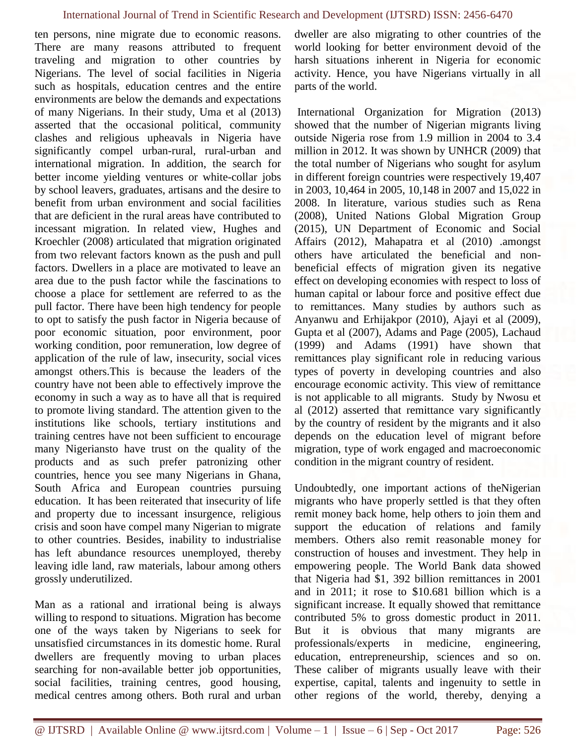ten persons, nine migrate due to economic reasons. There are many reasons attributed to frequent traveling and migration to other countries by Nigerians. The level of social facilities in Nigeria such as hospitals, education centres and the entire environments are below the demands and expectations of many Nigerians. In their study, Uma et al (2013) asserted that the occasional political, community clashes and religious upheavals in Nigeria have significantly compel urban-rural, rural-urban and international migration. In addition, the search for better income yielding ventures or white-collar jobs by school leavers, graduates, artisans and the desire to benefit from urban environment and social facilities that are deficient in the rural areas have contributed to incessant migration. In related view, Hughes and Kroechler (2008) articulated that migration originated from two relevant factors known as the push and pull factors. Dwellers in a place are motivated to leave an area due to the push factor while the fascinations to choose a place for settlement are referred to as the pull factor. There have been high tendency for people to opt to satisfy the push factor in Nigeria because of poor economic situation, poor environment, poor working condition, poor remuneration, low degree of application of the rule of law, insecurity, social vices amongst others.This is because the leaders of the country have not been able to effectively improve the economy in such a way as to have all that is required to promote living standard. The attention given to the institutions like schools, tertiary institutions and training centres have not been sufficient to encourage many Nigeriansto have trust on the quality of the products and as such prefer patronizing other countries, hence you see many Nigerians in Ghana, South Africa and European countries pursuing education. It has been reiterated that insecurity of life and property due to incessant insurgence, religious crisis and soon have compel many Nigerian to migrate to other countries. Besides, inability to industrialise has left abundance resources unemployed, thereby leaving idle land, raw materials, labour among others grossly underutilized.

Man as a rational and irrational being is always willing to respond to situations. Migration has become one of the ways taken by Nigerians to seek for unsatisfied circumstances in its domestic home. Rural dwellers are frequently moving to urban places searching for non-available better job opportunities, social facilities, training centres, good housing, medical centres among others. Both rural and urban

dweller are also migrating to other countries of the world looking for better environment devoid of the harsh situations inherent in Nigeria for economic activity. Hence, you have Nigerians virtually in all parts of the world.

International Organization for Migration (2013) showed that the number of Nigerian migrants living outside Nigeria rose from 1.9 million in 2004 to 3.4 million in 2012. It was shown by UNHCR (2009) that the total number of Nigerians who sought for asylum in different foreign countries were respectively 19,407 in 2003, 10,464 in 2005, 10,148 in 2007 and 15,022 in 2008. In literature, various studies such as Rena (2008), United Nations Global Migration Group (2015), UN Department of Economic and Social Affairs (2012), Mahapatra et al (2010) .amongst others have articulated the beneficial and nonbeneficial effects of migration given its negative effect on developing economies with respect to loss of human capital or labour force and positive effect due to remittances. Many studies by authors such as Anyanwu and Erhijakpor (2010), Ajayi et al (2009), Gupta et al (2007), Adams and Page (2005), Lachaud (1999) and Adams (1991) have shown that remittances play significant role in reducing various types of poverty in developing countries and also encourage economic activity. This view of remittance is not applicable to all migrants. Study by Nwosu et al (2012) asserted that remittance vary significantly by the country of resident by the migrants and it also depends on the education level of migrant before migration, type of work engaged and macroeconomic condition in the migrant country of resident.

Undoubtedly, one important actions of theNigerian migrants who have properly settled is that they often remit money back home, help others to join them and support the education of relations and family members. Others also remit reasonable money for construction of houses and investment. They help in empowering people. The World Bank data showed that Nigeria had \$1, 392 billion remittances in 2001 and in 2011; it rose to \$10.681 billion which is a significant increase. It equally showed that remittance contributed 5% to gross domestic product in 2011. But it is obvious that many migrants are professionals/experts in medicine, engineering, education, entrepreneurship, sciences and so on. These caliber of migrants usually leave with their expertise, capital, talents and ingenuity to settle in other regions of the world, thereby, denying a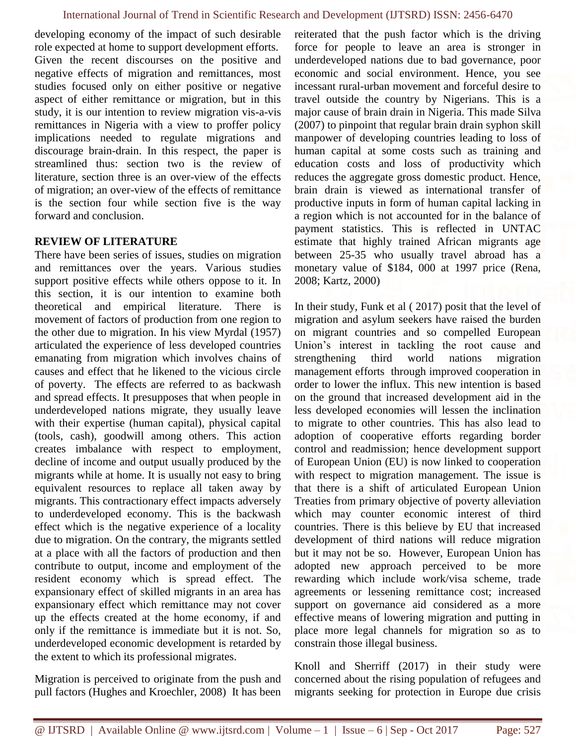developing economy of the impact of such desirable role expected at home to support development efforts. Given the recent discourses on the positive and negative effects of migration and remittances, most studies focused only on either positive or negative aspect of either remittance or migration, but in this study, it is our intention to review migration vis-a-vis remittances in Nigeria with a view to proffer policy implications needed to regulate migrations and discourage brain-drain. In this respect, the paper is streamlined thus: section two is the review of literature, section three is an over-view of the effects of migration; an over-view of the effects of remittance is the section four while section five is the way forward and conclusion.

### **REVIEW OF LITERATURE**

There have been series of issues, studies on migration and remittances over the years. Various studies support positive effects while others oppose to it. In this section, it is our intention to examine both theoretical and empirical literature. There is movement of factors of production from one region to the other due to migration. In his view Myrdal (1957) articulated the experience of less developed countries emanating from migration which involves chains of causes and effect that he likened to the vicious circle of poverty. The effects are referred to as backwash and spread effects. It presupposes that when people in underdeveloped nations migrate, they usually leave with their expertise (human capital), physical capital (tools, cash), goodwill among others. This action creates imbalance with respect to employment, decline of income and output usually produced by the migrants while at home. It is usually not easy to bring equivalent resources to replace all taken away by migrants. This contractionary effect impacts adversely to underdeveloped economy. This is the backwash effect which is the negative experience of a locality due to migration. On the contrary, the migrants settled at a place with all the factors of production and then contribute to output, income and employment of the resident economy which is spread effect. The expansionary effect of skilled migrants in an area has expansionary effect which remittance may not cover up the effects created at the home economy, if and only if the remittance is immediate but it is not. So, underdeveloped economic development is retarded by the extent to which its professional migrates.

Migration is perceived to originate from the push and pull factors (Hughes and Kroechler, 2008) It has been reiterated that the push factor which is the driving force for people to leave an area is stronger in underdeveloped nations due to bad governance, poor economic and social environment. Hence, you see incessant rural-urban movement and forceful desire to travel outside the country by Nigerians. This is a major cause of brain drain in Nigeria. This made Silva (2007) to pinpoint that regular brain drain syphon skill manpower of developing countries leading to loss of human capital at some costs such as training and education costs and loss of productivity which reduces the aggregate gross domestic product. Hence, brain drain is viewed as international transfer of productive inputs in form of human capital lacking in a region which is not accounted for in the balance of payment statistics. This is reflected in UNTAC estimate that highly trained African migrants age between 25-35 who usually travel abroad has a monetary value of \$184, 000 at 1997 price (Rena, 2008; Kartz, 2000)

In their study, Funk et al ( 2017) posit that the level of migration and asylum seekers have raised the burden on migrant countries and so compelled European Union's interest in tackling the root cause and strengthening third world nations migration management efforts through improved cooperation in order to lower the influx. This new intention is based on the ground that increased development aid in the less developed economies will lessen the inclination to migrate to other countries. This has also lead to adoption of cooperative efforts regarding border control and readmission; hence development support of European Union (EU) is now linked to cooperation with respect to migration management. The issue is that there is a shift of articulated European Union Treaties from primary objective of poverty alleviation which may counter economic interest of third countries. There is this believe by EU that increased development of third nations will reduce migration but it may not be so. However, European Union has adopted new approach perceived to be more rewarding which include work/visa scheme, trade agreements or lessening remittance cost; increased support on governance aid considered as a more effective means of lowering migration and putting in place more legal channels for migration so as to constrain those illegal business.

Knoll and Sherriff (2017) in their study were concerned about the rising population of refugees and migrants seeking for protection in Europe due crisis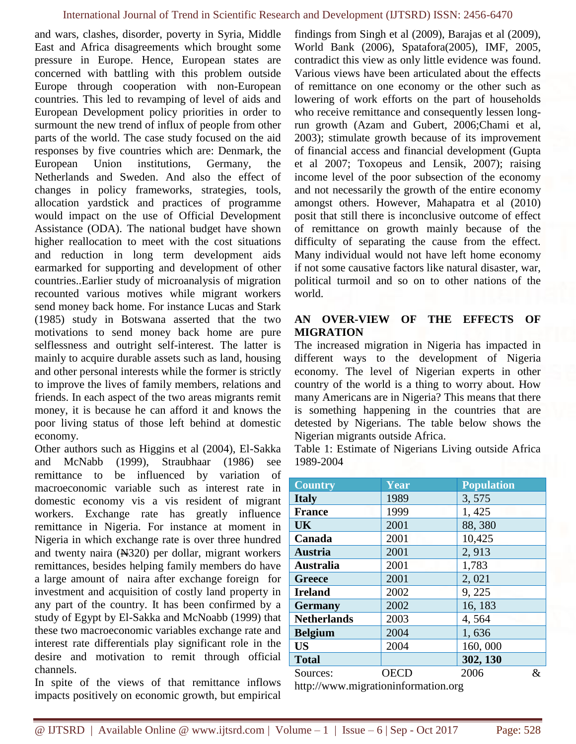and wars, clashes, disorder, poverty in Syria, Middle East and Africa disagreements which brought some pressure in Europe. Hence, European states are concerned with battling with this problem outside Europe through cooperation with non-European countries. This led to revamping of level of aids and European Development policy priorities in order to surmount the new trend of influx of people from other parts of the world. The case study focused on the aid responses by five countries which are: Denmark, the European Union institutions, Germany, the Netherlands and Sweden. And also the effect of changes in policy frameworks, strategies, tools, allocation yardstick and practices of programme would impact on the use of Official Development Assistance (ODA). The national budget have shown higher reallocation to meet with the cost situations and reduction in long term development aids earmarked for supporting and development of other countries..Earlier study of microanalysis of migration recounted various motives while migrant workers send money back home. For instance Lucas and Stark (1985) study in Botswana asserted that the two motivations to send money back home are pure selflessness and outright self-interest. The latter is mainly to acquire durable assets such as land, housing and other personal interests while the former is strictly to improve the lives of family members, relations and friends. In each aspect of the two areas migrants remit money, it is because he can afford it and knows the poor living status of those left behind at domestic economy.

Other authors such as Higgins et al (2004), El-Sakka and McNabb (1999), Straubhaar (1986) see remittance to be influenced by variation of macroeconomic variable such as interest rate in domestic economy vis a vis resident of migrant workers. Exchange rate has greatly influence remittance in Nigeria. For instance at moment in Nigeria in which exchange rate is over three hundred and twenty naira  $(\text{N320})$  per dollar, migrant workers remittances, besides helping family members do have a large amount of naira after exchange foreign for investment and acquisition of costly land property in any part of the country. It has been confirmed by a study of Egypt by El-Sakka and McNoabb (1999) that these two macroeconomic variables exchange rate and interest rate differentials play significant role in the desire and motivation to remit through official channels.

In spite of the views of that remittance inflows impacts positively on economic growth, but empirical

findings from Singh et al (2009), Barajas et al (2009), World Bank (2006), Spatafora(2005), IMF, 2005, contradict this view as only little evidence was found. Various views have been articulated about the effects of remittance on one economy or the other such as lowering of work efforts on the part of households who receive remittance and consequently lessen longrun growth (Azam and Gubert, 2006;Chami et al, 2003); stimulate growth because of its improvement of financial access and financial development (Gupta et al 2007; Toxopeus and Lensik, 2007); raising income level of the poor subsection of the economy and not necessarily the growth of the entire economy amongst others. However, Mahapatra et al (2010) posit that still there is inconclusive outcome of effect of remittance on growth mainly because of the difficulty of separating the cause from the effect. Many individual would not have left home economy if not some causative factors like natural disaster, war, political turmoil and so on to other nations of the world.

## **AN OVER-VIEW OF THE EFFECTS OF MIGRATION**

The increased migration in Nigeria has impacted in different ways to the development of Nigeria economy. The level of Nigerian experts in other country of the world is a thing to worry about. How many Americans are in Nigeria? This means that there is something happening in the countries that are detested by Nigerians. The table below shows the Nigerian migrants outside Africa.

Table 1: Estimate of Nigerians Living outside Africa 1989-2004

| <b>Country</b>     | Year | <b>Population</b> |   |
|--------------------|------|-------------------|---|
| <b>Italy</b>       | 1989 | 3,575             |   |
| <b>France</b>      | 1999 | 1,425             |   |
| <b>UK</b>          | 2001 | 88,380            |   |
| Canada             | 2001 | 10,425            |   |
| <b>Austria</b>     | 2001 | 2,913             |   |
| <b>Australia</b>   | 2001 | 1,783             |   |
| <b>Greece</b>      | 2001 | 2,021             |   |
| <b>Ireland</b>     | 2002 | 9,225             |   |
| <b>Germany</b>     | 2002 | 16, 183           |   |
| <b>Netherlands</b> | 2003 | 4,564             |   |
| <b>Belgium</b>     | 2004 | 1,636             |   |
| <b>US</b>          | 2004 | 160,000           |   |
| <b>Total</b>       |      | 302, 130          |   |
| Sources:           | OECD | 2006              | & |
|                    |      |                   |   |

http://www.migrationinformation.org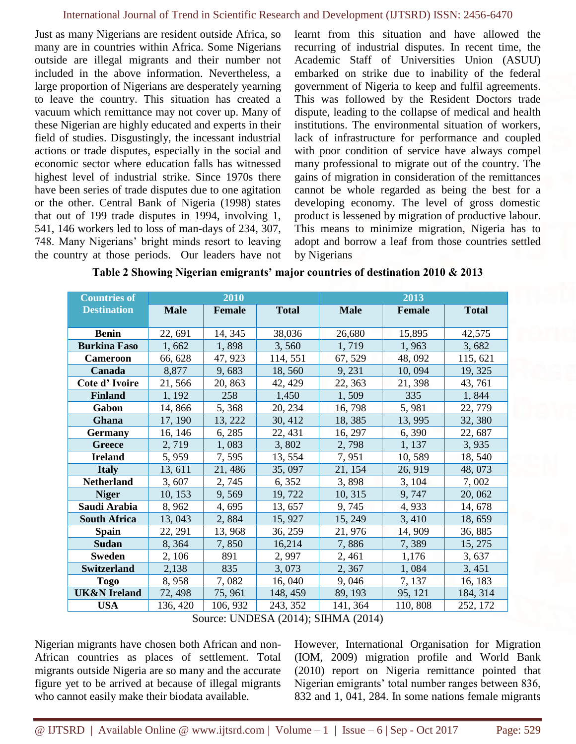Just as many Nigerians are resident outside Africa, so many are in countries within Africa. Some Nigerians outside are illegal migrants and their number not included in the above information. Nevertheless, a large proportion of Nigerians are desperately yearning to leave the country. This situation has created a vacuum which remittance may not cover up. Many of these Nigerian are highly educated and experts in their field of studies. Disgustingly, the incessant industrial actions or trade disputes, especially in the social and economic sector where education falls has witnessed highest level of industrial strike. Since 1970s there have been series of trade disputes due to one agitation or the other. Central Bank of Nigeria (1998) states that out of 199 trade disputes in 1994, involving 1, 541, 146 workers led to loss of man-days of 234, 307, 748. Many Nigerians' bright minds resort to leaving the country at those periods. Our leaders have not learnt from this situation and have allowed the recurring of industrial disputes. In recent time, the Academic Staff of Universities Union (ASUU) embarked on strike due to inability of the federal government of Nigeria to keep and fulfil agreements. This was followed by the Resident Doctors trade dispute, leading to the collapse of medical and health institutions. The environmental situation of workers, lack of infrastructure for performance and coupled with poor condition of service have always compel many professional to migrate out of the country. The gains of migration in consideration of the remittances cannot be whole regarded as being the best for a developing economy. The level of gross domestic product is lessened by migration of productive labour. This means to minimize migration, Nigeria has to adopt and borrow a leaf from those countries settled by Nigerians

| <b>Countries of</b>     | 2010        |               |              | 2013        |         |              |
|-------------------------|-------------|---------------|--------------|-------------|---------|--------------|
| <b>Destination</b>      | <b>Male</b> | <b>Female</b> | <b>Total</b> | <b>Male</b> | Female  | <b>Total</b> |
|                         |             |               |              |             |         |              |
| <b>Benin</b>            | 22, 691     | 14, 345       | 38,036       | 26,680      | 15,895  | 42,575       |
| <b>Burkina Faso</b>     | 1,662       | 1,898         | 3,560        | 1,719       | 1,963   | 3,682        |
| <b>Cameroon</b>         | 66, 628     | 47, 923       | 114, 551     | 67, 529     | 48, 092 | 115, 621     |
| Canada                  | 8,877       | 9,683         | 18,560       | 9, 231      | 10,094  | 19, 325      |
| Cote d'Ivoire           | 21,566      | 20, 863       | 42, 429      | 22, 363     | 21, 398 | 43, 761      |
| <b>Finland</b>          | 1, 192      | 258           | 1,450        | 1,509       | 335     | 1,844        |
| Gabon                   | 14,866      | 5,368         | 20, 234      | 16,798      | 5,981   | 22, 779      |
| Ghana                   | 17, 190     | 13, 222       | 30, 412      | 18,385      | 13, 995 | 32, 380      |
| <b>Germany</b>          | 16, 146     | 6, 285        | 22, 431      | 16, 297     | 6,390   | 22, 687      |
| Greece                  | 2,719       | 1,083         | 3,802        | 2,798       | 1, 137  | 3,935        |
| <b>Ireland</b>          | 5,959       | 7,595         | 13, 554      | 7,951       | 10,589  | 18, 540      |
| <b>Italy</b>            | 13, 611     | 21,486        | 35,097       | 21, 154     | 26, 919 | 48,073       |
| <b>Netherland</b>       | 3,607       | 2,745         | 6, 352       | 3,898       | 3, 104  | 7,002        |
| <b>Niger</b>            | 10, 153     | 9,569         | 19,722       | 10, 315     | 9,747   | 20,062       |
| Saudi Arabia            | 8,962       | 4,695         | 13, 657      | 9,745       | 4,933   | 14, 678      |
| <b>South Africa</b>     | 13,043      | 2,884         | 15, 927      | 15, 249     | 3,410   | 18,659       |
| <b>Spain</b>            | 22, 291     | 13,968        | 36, 259      | 21,976      | 14,909  | 36, 885      |
| <b>Sudan</b>            | 8,364       | 7,850         | 16,214       | 7,886       | 7,389   | 15, 275      |
| <b>Sweden</b>           | 2, 106      | 891           | 2,997        | 2,461       | 1,176   | 3,637        |
| <b>Switzerland</b>      | 2,138       | 835           | 3,073        | 2,367       | 1,084   | 3,451        |
| <b>Togo</b>             | 8,958       | 7,082         | 16,040       | 9,046       | 7, 137  | 16, 183      |
| <b>UK&amp;N</b> Ireland | 72, 498     | 75, 961       | 148, 459     | 89, 193     | 95, 121 | 184, 314     |
| <b>USA</b>              | 136, 420    | 106, 932      | 243, 352     | 141, 364    | 110,808 | 252, 172     |

|  | Table 2 Showing Nigerian emigrants' major countries of destination 2010 & 2013 |  |
|--|--------------------------------------------------------------------------------|--|
|  |                                                                                |  |

Source: UNDESA (2014); SIHMA (2014)

Nigerian migrants have chosen both African and non-African countries as places of settlement. Total migrants outside Nigeria are so many and the accurate figure yet to be arrived at because of illegal migrants who cannot easily make their biodata available.

However, International Organisation for Migration (IOM, 2009) migration profile and World Bank (2010) report on Nigeria remittance pointed that Nigerian emigrants' total number ranges between 836, 832 and 1, 041, 284. In some nations female migrants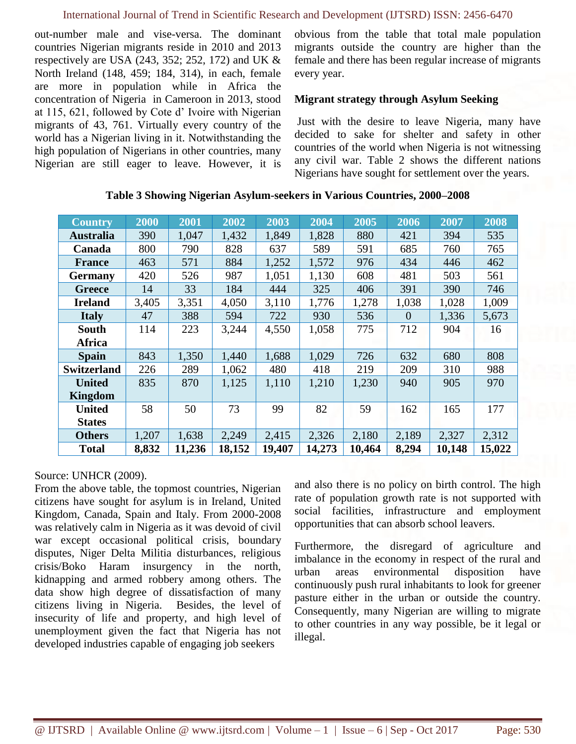out-number male and vise-versa. The dominant countries Nigerian migrants reside in 2010 and 2013 respectively are USA (243, 352; 252, 172) and UK & North Ireland (148, 459; 184, 314), in each, female are more in population while in Africa the concentration of Nigeria in Cameroon in 2013, stood at 115, 621, followed by Cote d' Ivoire with Nigerian migrants of 43, 761. Virtually every country of the world has a Nigerian living in it. Notwithstanding the high population of Nigerians in other countries, many Nigerian are still eager to leave. However, it is obvious from the table that total male population migrants outside the country are higher than the female and there has been regular increase of migrants every year.

### **Migrant strategy through Asylum Seeking**

Just with the desire to leave Nigeria, many have decided to sake for shelter and safety in other countries of the world when Nigeria is not witnessing any civil war. Table 2 shows the different nations Nigerians have sought for settlement over the years.

| <b>Country</b>     | 2000  | 2001   | 2002   | 2003   | 2004   | 2005   | 2006     | 2007   | 2008   |
|--------------------|-------|--------|--------|--------|--------|--------|----------|--------|--------|
| <b>Australia</b>   | 390   | 1,047  | 1,432  | 1,849  | 1,828  | 880    | 421      | 394    | 535    |
| Canada             | 800   | 790    | 828    | 637    | 589    | 591    | 685      | 760    | 765    |
| <b>France</b>      | 463   | 571    | 884    | 1,252  | 1,572  | 976    | 434      | 446    | 462    |
| <b>Germany</b>     | 420   | 526    | 987    | 1,051  | 1,130  | 608    | 481      | 503    | 561    |
| <b>Greece</b>      | 14    | 33     | 184    | 444    | 325    | 406    | 391      | 390    | 746    |
| <b>Ireland</b>     | 3,405 | 3,351  | 4,050  | 3,110  | 1,776  | 1,278  | 1,038    | 1,028  | 1,009  |
| <b>Italy</b>       | 47    | 388    | 594    | 722    | 930    | 536    | $\theta$ | 1,336  | 5,673  |
| South              | 114   | 223    | 3,244  | 4,550  | 1,058  | 775    | 712      | 904    | 16     |
| Africa             |       |        |        |        |        |        |          |        |        |
| <b>Spain</b>       | 843   | 1,350  | 1,440  | 1,688  | 1,029  | 726    | 632      | 680    | 808    |
| <b>Switzerland</b> | 226   | 289    | 1,062  | 480    | 418    | 219    | 209      | 310    | 988    |
| <b>United</b>      | 835   | 870    | 1,125  | 1,110  | 1,210  | 1,230  | 940      | 905    | 970    |
| Kingdom            |       |        |        |        |        |        |          |        |        |
| <b>United</b>      | 58    | 50     | 73     | 99     | 82     | 59     | 162      | 165    | 177    |
| <b>States</b>      |       |        |        |        |        |        |          |        |        |
| <b>Others</b>      | 1,207 | 1,638  | 2,249  | 2,415  | 2,326  | 2,180  | 2,189    | 2,327  | 2,312  |
| <b>Total</b>       | 8,832 | 11,236 | 18,152 | 19,407 | 14,273 | 10,464 | 8,294    | 10,148 | 15,022 |

**Table 3 Showing Nigerian Asylum-seekers in Various Countries, 2000–2008**

## Source: UNHCR (2009).

From the above table, the topmost countries, Nigerian citizens have sought for asylum is in Ireland, United Kingdom, Canada, Spain and Italy. From 2000-2008 was relatively calm in Nigeria as it was devoid of civil war except occasional political crisis, boundary disputes, Niger Delta Militia disturbances, religious crisis/Boko Haram insurgency in the north, kidnapping and armed robbery among others. The data show high degree of dissatisfaction of many citizens living in Nigeria. Besides, the level of insecurity of life and property, and high level of unemployment given the fact that Nigeria has not developed industries capable of engaging job seekers

and also there is no policy on birth control. The high rate of population growth rate is not supported with social facilities, infrastructure and employment opportunities that can absorb school leavers.

Furthermore, the disregard of agriculture and imbalance in the economy in respect of the rural and urban areas environmental disposition have continuously push rural inhabitants to look for greener pasture either in the urban or outside the country. Consequently, many Nigerian are willing to migrate to other countries in any way possible, be it legal or illegal.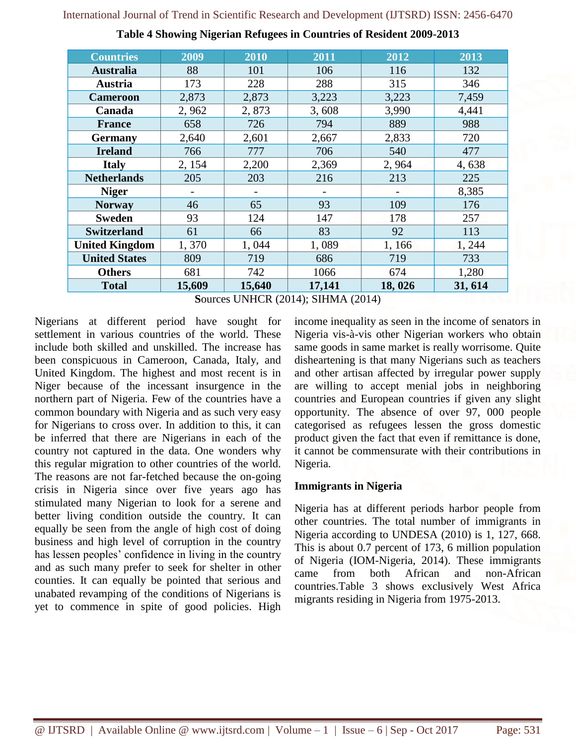| <b>Countries</b>      | 2009   | 2010   | 2011   | 2012   | 2013    |
|-----------------------|--------|--------|--------|--------|---------|
| <b>Australia</b>      | 88     | 101    | 106    | 116    | 132     |
| Austria               | 173    | 228    | 288    | 315    | 346     |
| <b>Cameroon</b>       | 2,873  | 2,873  | 3,223  | 3,223  | 7,459   |
| Canada                | 2,962  | 2,873  | 3,608  | 3,990  | 4,441   |
| <b>France</b>         | 658    | 726    | 794    | 889    | 988     |
| <b>Germany</b>        | 2,640  | 2,601  | 2,667  | 2,833  | 720     |
| <b>Ireland</b>        | 766    | 777    | 706    | 540    | 477     |
| <b>Italy</b>          | 2, 154 | 2,200  | 2,369  | 2,964  | 4,638   |
| <b>Netherlands</b>    | 205    | 203    | 216    | 213    | 225     |
| <b>Niger</b>          |        |        |        |        | 8,385   |
| <b>Norway</b>         | 46     | 65     | 93     | 109    | 176     |
| <b>Sweden</b>         | 93     | 124    | 147    | 178    | 257     |
| <b>Switzerland</b>    | 61     | 66     | 83     | 92     | 113     |
| <b>United Kingdom</b> | 1,370  | 1,044  | 1,089  | 1,166  | 1,244   |
| <b>United States</b>  | 809    | 719    | 686    | 719    | 733     |
| <b>Others</b>         | 681    | 742    | 1066   | 674    | 1,280   |
| <b>Total</b>          | 15,609 | 15,640 | 17,141 | 18,026 | 31, 614 |

**Table 4 Showing Nigerian Refugees in Countries of Resident 2009-2013**

**S**ources UNHCR (2014); SIHMA (2014)

Nigerians at different period have sought for settlement in various countries of the world. These include both skilled and unskilled. The increase has been conspicuous in Cameroon, Canada, Italy, and United Kingdom. The highest and most recent is in Niger because of the incessant insurgence in the northern part of Nigeria. Few of the countries have a common boundary with Nigeria and as such very easy for Nigerians to cross over. In addition to this, it can be inferred that there are Nigerians in each of the country not captured in the data. One wonders why this regular migration to other countries of the world. The reasons are not far-fetched because the on-going crisis in Nigeria since over five years ago has stimulated many Nigerian to look for a serene and better living condition outside the country. It can equally be seen from the angle of high cost of doing business and high level of corruption in the country has lessen peoples' confidence in living in the country and as such many prefer to seek for shelter in other counties. It can equally be pointed that serious and unabated revamping of the conditions of Nigerians is yet to commence in spite of good policies. High income inequality as seen in the income of senators in Nigeria vis-à-vis other Nigerian workers who obtain same goods in same market is really worrisome. Quite disheartening is that many Nigerians such as teachers and other artisan affected by irregular power supply are willing to accept menial jobs in neighboring countries and European countries if given any slight opportunity. The absence of over 97, 000 people categorised as refugees lessen the gross domestic product given the fact that even if remittance is done, it cannot be commensurate with their contributions in Nigeria.

## **Immigrants in Nigeria**

Nigeria has at different periods harbor people from other countries. The total number of immigrants in Nigeria according to UNDESA (2010) is 1, 127, 668. This is about 0.7 percent of 173, 6 million population of Nigeria (IOM-Nigeria, 2014). These immigrants came from both African and non-African countries.Table 3 shows exclusively West Africa migrants residing in Nigeria from 1975-2013.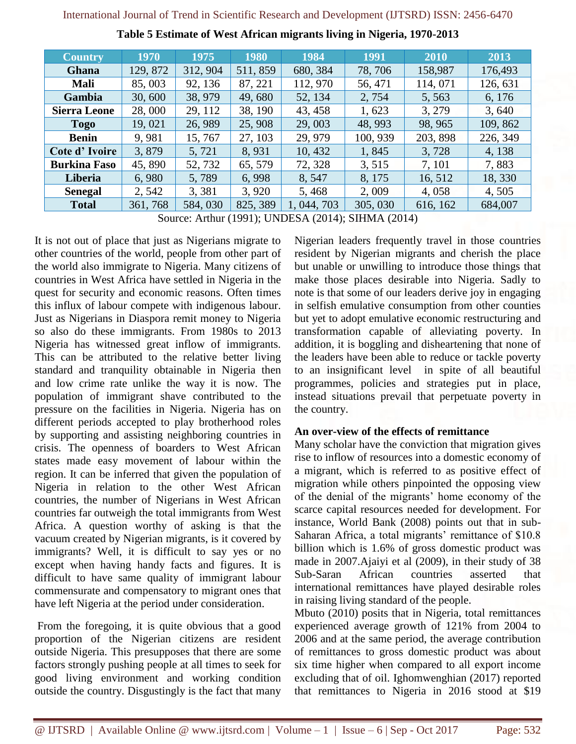| <b>Country</b>      | 1970     | 1975     | 1980     | 1984        | 1991     | 2010     | 2013     |
|---------------------|----------|----------|----------|-------------|----------|----------|----------|
| Ghana               | 129, 872 | 312, 904 | 511, 859 | 680, 384    | 78,706   | 158,987  | 176,493  |
| Mali                | 85,003   | 92, 136  | 87, 221  | 112, 970    | 56, 471  | 114,071  | 126, 631 |
| Gambia              | 30,600   | 38, 979  | 49,680   | 52, 134     | 2,754    | 5,563    | 6, 176   |
| <b>Sierra Leone</b> | 28,000   | 29, 112  | 38, 190  | 43, 458     | 1,623    | 3, 279   | 3,640    |
| <b>Togo</b>         | 19,021   | 26, 989  | 25,908   | 29,003      | 48, 993  | 98, 965  | 109, 862 |
| <b>Benin</b>        | 9,981    | 15,767   | 27, 103  | 29, 979     | 100, 939 | 203, 898 | 226, 349 |
| Cote d'Ivoire       | 3,879    | 5,721    | 8,931    | 10,432      | 1,845    | 3,728    | 4, 138   |
| <b>Burkina Faso</b> | 45,890   | 52, 732  | 65, 579  | 72, 328     | 3,515    | 7, 101   | 7,883    |
| <b>Liberia</b>      | 6,980    | 5,789    | 6,998    | 8,547       | 8, 175   | 16, 512  | 18, 330  |
| <b>Senegal</b>      | 2,542    | 3,381    | 3,920    | 5,468       | 2,009    | 4,058    | 4,505    |
| <b>Total</b>        | 361, 768 | 584, 030 | 825, 389 | 1, 044, 703 | 305, 030 | 616, 162 | 684,007  |

**Table 5 Estimate of West African migrants living in Nigeria, 1970-2013**

Source: Arthur (1991); UNDESA (2014); SIHMA (2014)

It is not out of place that just as Nigerians migrate to other countries of the world, people from other part of the world also immigrate to Nigeria. Many citizens of countries in West Africa have settled in Nigeria in the quest for security and economic reasons. Often times this influx of labour compete with indigenous labour. Just as Nigerians in Diaspora remit money to Nigeria so also do these immigrants. From 1980s to 2013 Nigeria has witnessed great inflow of immigrants. This can be attributed to the relative better living standard and tranquility obtainable in Nigeria then and low crime rate unlike the way it is now. The population of immigrant shave contributed to the pressure on the facilities in Nigeria. Nigeria has on different periods accepted to play brotherhood roles by supporting and assisting neighboring countries in crisis. The openness of boarders to West African states made easy movement of labour within the region. It can be inferred that given the population of Nigeria in relation to the other West African countries, the number of Nigerians in West African countries far outweigh the total immigrants from West Africa. A question worthy of asking is that the vacuum created by Nigerian migrants, is it covered by immigrants? Well, it is difficult to say yes or no except when having handy facts and figures. It is difficult to have same quality of immigrant labour commensurate and compensatory to migrant ones that have left Nigeria at the period under consideration.

From the foregoing, it is quite obvious that a good proportion of the Nigerian citizens are resident outside Nigeria. This presupposes that there are some factors strongly pushing people at all times to seek for good living environment and working condition outside the country. Disgustingly is the fact that many Nigerian leaders frequently travel in those countries resident by Nigerian migrants and cherish the place but unable or unwilling to introduce those things that make those places desirable into Nigeria. Sadly to note is that some of our leaders derive joy in engaging in selfish emulative consumption from other counties but yet to adopt emulative economic restructuring and transformation capable of alleviating poverty. In addition, it is boggling and disheartening that none of the leaders have been able to reduce or tackle poverty to an insignificant level in spite of all beautiful programmes, policies and strategies put in place, instead situations prevail that perpetuate poverty in the country.

### **An over-view of the effects of remittance**

Many scholar have the conviction that migration gives rise to inflow of resources into a domestic economy of a migrant, which is referred to as positive effect of migration while others pinpointed the opposing view of the denial of the migrants' home economy of the scarce capital resources needed for development. For instance, World Bank (2008) points out that in sub-Saharan Africa, a total migrants' remittance of \$10.8 billion which is 1.6% of gross domestic product was made in 2007.Ajaiyi et al (2009), in their study of 38 Sub-Saran African countries asserted that international remittances have played desirable roles in raising living standard of the people.

Mbuto (2010) posits that in Nigeria, total remittances experienced average growth of 121% from 2004 to 2006 and at the same period, the average contribution of remittances to gross domestic product was about six time higher when compared to all export income excluding that of oil. Ighomwenghian (2017) reported that remittances to Nigeria in 2016 stood at \$19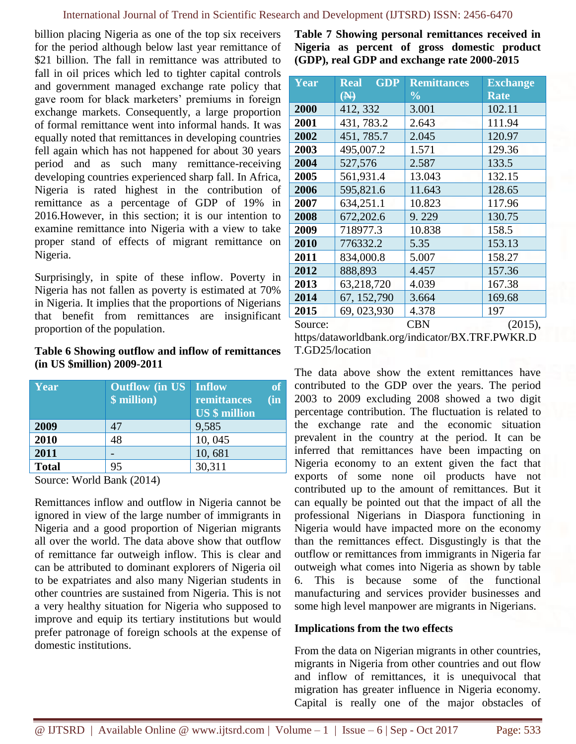billion placing Nigeria as one of the top six receivers for the period although below last year remittance of \$21 billion. The fall in remittance was attributed to fall in oil prices which led to tighter capital controls and government managed exchange rate policy that gave room for black marketers' premiums in foreign exchange markets. Consequently, a large proportion of formal remittance went into informal hands. It was equally noted that remittances in developing countries fell again which has not happened for about 30 years period and as such many remittance-receiving developing countries experienced sharp fall. In Africa, Nigeria is rated highest in the contribution of remittance as a percentage of GDP of 19% in 2016.However, in this section; it is our intention to examine remittance into Nigeria with a view to take proper stand of effects of migrant remittance on Nigeria.

Surprisingly, in spite of these inflow. Poverty in Nigeria has not fallen as poverty is estimated at 70% in Nigeria. It implies that the proportions of Nigerians that benefit from remittances are insignificant proportion of the population.

#### **Table 6 Showing outflow and inflow of remittances (in US \$million) 2009-2011**

| Year         | <b>Outflow</b> (in US Inflow<br>\$ million) | remittances<br><b>US</b> \$ million | $\sin$ |
|--------------|---------------------------------------------|-------------------------------------|--------|
| 2009         | 47                                          | 9,585                               |        |
| 2010         | 48                                          | 10,045                              |        |
| 2011         |                                             | 10,681                              |        |
| <b>Total</b> | 95                                          | 30,311                              |        |

Source: World Bank (2014)

Remittances inflow and outflow in Nigeria cannot be ignored in view of the large number of immigrants in Nigeria and a good proportion of Nigerian migrants all over the world. The data above show that outflow of remittance far outweigh inflow. This is clear and can be attributed to dominant explorers of Nigeria oil to be expatriates and also many Nigerian students in other countries are sustained from Nigeria. This is not a very healthy situation for Nigeria who supposed to improve and equip its tertiary institutions but would prefer patronage of foreign schools at the expense of domestic institutions.

**Table 7 Showing personal remittances received in Nigeria as percent of gross domestic product (GDP), real GDP and exchange rate 2000-2015**

| Year    | $\overline{\textbf{GDP}}$<br><b>Real</b> | <b>Remittances</b>       | <b>Exchange</b> |
|---------|------------------------------------------|--------------------------|-----------------|
|         | $\bigoplus$                              | $\overline{\frac{0}{0}}$ | <b>Rate</b>     |
| 2000    | 412, 332                                 | 3.001                    | 102.11          |
| 2001    | 431, 783.2                               | 2.643                    | 111.94          |
| 2002    | 451, 785.7                               | 2.045                    | 120.97          |
| 2003    | 495,007.2                                | 1.571                    | 129.36          |
| 2004    | 527,576                                  | 2.587                    | 133.5           |
| 2005    | 561,931.4                                | 13.043                   | 132.15          |
| 2006    | 595,821.6                                | 11.643                   | 128.65          |
| 2007    | 634,251.1                                | 10.823                   | 117.96          |
| 2008    | 672,202.6                                | 9.229                    | 130.75          |
| 2009    | 718977.3                                 | 10.838                   | 158.5           |
| 2010    | 776332.2                                 | 5.35                     | 153.13          |
| 2011    | 834,000.8                                | 5.007                    | 158.27          |
| 2012    | 888,893                                  | 4.457                    | 157.36          |
| 2013    | 63,218,720                               | 4.039                    | 167.38          |
| 2014    | 67, 152, 790                             | 3.664                    | 169.68          |
| 2015    | 69, 023, 930                             | 4.378                    | 197             |
| Source: |                                          | <b>CBN</b>               | (2015),         |

https/dataworldbank.org/indicator/BX.TRF.PWKR.D T.GD25/location

The data above show the extent remittances have contributed to the GDP over the years. The period 2003 to 2009 excluding 2008 showed a two digit percentage contribution. The fluctuation is related to the exchange rate and the economic situation prevalent in the country at the period. It can be inferred that remittances have been impacting on Nigeria economy to an extent given the fact that exports of some none oil products have not contributed up to the amount of remittances. But it can equally be pointed out that the impact of all the professional Nigerians in Diaspora functioning in Nigeria would have impacted more on the economy than the remittances effect. Disgustingly is that the outflow or remittances from immigrants in Nigeria far outweigh what comes into Nigeria as shown by table 6. This is because some of the functional manufacturing and services provider businesses and some high level manpower are migrants in Nigerians.

### **Implications from the two effects**

From the data on Nigerian migrants in other countries, migrants in Nigeria from other countries and out flow and inflow of remittances, it is unequivocal that migration has greater influence in Nigeria economy. Capital is really one of the major obstacles of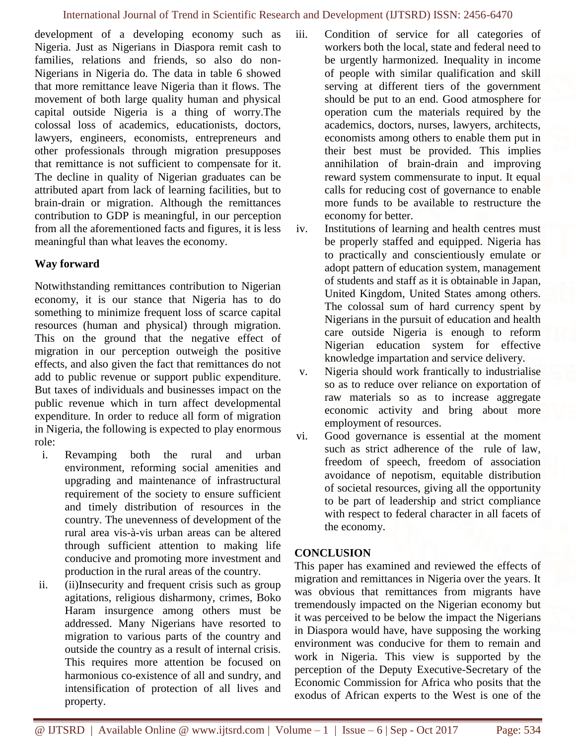development of a developing economy such as Nigeria. Just as Nigerians in Diaspora remit cash to families, relations and friends, so also do non-Nigerians in Nigeria do. The data in table 6 showed that more remittance leave Nigeria than it flows. The movement of both large quality human and physical capital outside Nigeria is a thing of worry.The colossal loss of academics, educationists, doctors, lawyers, engineers, economists, entrepreneurs and other professionals through migration presupposes that remittance is not sufficient to compensate for it. The decline in quality of Nigerian graduates can be attributed apart from lack of learning facilities, but to brain-drain or migration. Although the remittances contribution to GDP is meaningful, in our perception from all the aforementioned facts and figures, it is less meaningful than what leaves the economy.

## **Way forward**

Notwithstanding remittances contribution to Nigerian economy, it is our stance that Nigeria has to do something to minimize frequent loss of scarce capital resources (human and physical) through migration. This on the ground that the negative effect of migration in our perception outweigh the positive effects, and also given the fact that remittances do not add to public revenue or support public expenditure. But taxes of individuals and businesses impact on the public revenue which in turn affect developmental expenditure. In order to reduce all form of migration in Nigeria, the following is expected to play enormous role:

- i. Revamping both the rural and urban environment, reforming social amenities and upgrading and maintenance of infrastructural requirement of the society to ensure sufficient and timely distribution of resources in the country. The unevenness of development of the rural area vis-à-vis urban areas can be altered through sufficient attention to making life conducive and promoting more investment and production in the rural areas of the country.
- ii. (ii)Insecurity and frequent crisis such as group agitations, religious disharmony, crimes, Boko Haram insurgence among others must be addressed. Many Nigerians have resorted to migration to various parts of the country and outside the country as a result of internal crisis. This requires more attention be focused on harmonious co-existence of all and sundry, and intensification of protection of all lives and property.

iii. Condition of service for all categories of workers both the local, state and federal need to be urgently harmonized. Inequality in income of people with similar qualification and skill serving at different tiers of the government should be put to an end. Good atmosphere for operation cum the materials required by the academics, doctors, nurses, lawyers, architects, economists among others to enable them put in their best must be provided. This implies annihilation of brain-drain and improving reward system commensurate to input. It equal calls for reducing cost of governance to enable more funds to be available to restructure the economy for better.

iv. Institutions of learning and health centres must be properly staffed and equipped. Nigeria has to practically and conscientiously emulate or adopt pattern of education system, management of students and staff as it is obtainable in Japan, United Kingdom, United States among others. The colossal sum of hard currency spent by Nigerians in the pursuit of education and health care outside Nigeria is enough to reform Nigerian education system for effective knowledge impartation and service delivery.

- v. Nigeria should work frantically to industrialise so as to reduce over reliance on exportation of raw materials so as to increase aggregate economic activity and bring about more employment of resources.
- vi. Good governance is essential at the moment such as strict adherence of the rule of law, freedom of speech, freedom of association avoidance of nepotism, equitable distribution of societal resources, giving all the opportunity to be part of leadership and strict compliance with respect to federal character in all facets of the economy.

## **CONCLUSION**

This paper has examined and reviewed the effects of migration and remittances in Nigeria over the years. It was obvious that remittances from migrants have tremendously impacted on the Nigerian economy but it was perceived to be below the impact the Nigerians in Diaspora would have, have supposing the working environment was conducive for them to remain and work in Nigeria. This view is supported by the perception of the Deputy Executive-Secretary of the Economic Commission for Africa who posits that the exodus of African experts to the West is one of the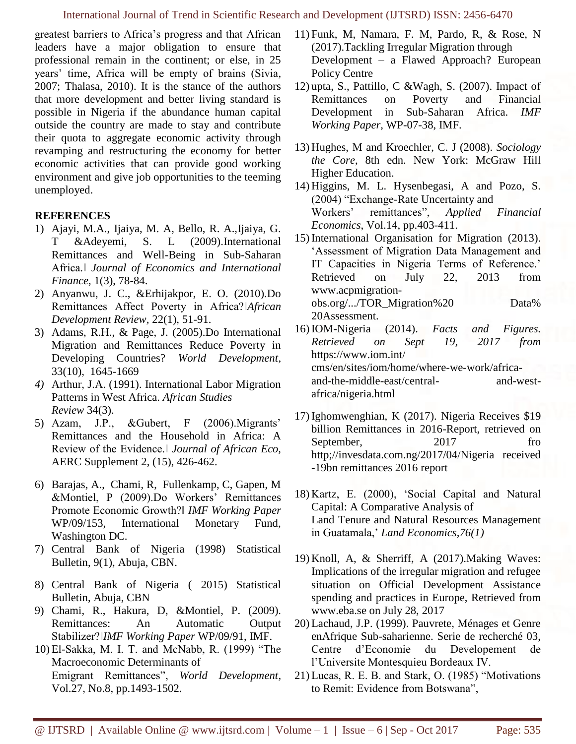greatest barriers to Africa's progress and that African leaders have a major obligation to ensure that professional remain in the continent; or else, in 25 years' time, Africa will be empty of brains (Sivia, 2007; Thalasa, 2010). It is the stance of the authors that more development and better living standard is possible in Nigeria if the abundance human capital outside the country are made to stay and contribute their quota to aggregate economic activity through revamping and restructuring the economy for better economic activities that can provide good working environment and give job opportunities to the teeming unemployed.

## **REFERENCES**

- 1) Ajayi, M.A., Ijaiya, M. A, Bello, R. A.,Ijaiya, G. T &Adeyemi, S. L (2009).International Remittances and Well-Being in Sub-Saharan Africa.‖ *Journal of Economics and International Finance,* 1(3), 78-84.
- 2) Anyanwu, J. C., &Erhijakpor, E. O. (2010).Do Remittances Affect Poverty in Africa?‖*African Development Review,* 22(1), 51-91.
- 3) Adams, R.H., & Page, J. (2005).Do International Migration and Remittances Reduce Poverty in Developing Countries? *World Development*, 33(10), 1645-1669
- *4)* Arthur, J.A. (1991). International Labor Migration Patterns in West Africa. *African Studies Review* 34(3).
- 5) Azam, J.P., &Gubert, F (2006).Migrants' Remittances and the Household in Africa: A Review of the Evidence.‖ *Journal of African Eco,*  AERC Supplement 2, (15), 426-462.
- 6) Barajas, A., Chami, R, Fullenkamp, C, Gapen, M &Montiel, P (2009).Do Workers' Remittances Promote Economic Growth?‖ *IMF Working Paper*  WP/09/153, International Monetary Fund, Washington DC.
- 7) Central Bank of Nigeria (1998) Statistical Bulletin, 9(1), Abuja, CBN.
- 8) Central Bank of Nigeria ( 2015) Statistical Bulletin, Abuja, CBN
- 9) Chami, R., Hakura, D, &Montiel, P. (2009). Remittances: An Automatic Output Stabilizer?‖*IMF Working Paper* WP/09/91, IMF.
- 10) El-Sakka, M. I. T. and McNabb, R. (1999) "The Macroeconomic Determinants of Emigrant Remittances", *World Development*, Vol.27, No.8, pp.1493-1502.
- 11) Funk, M, Namara, F. M, Pardo, R, & Rose, N (2017).Tackling Irregular Migration through Development – a Flawed Approach? European Policy Centre
- 12) upta, S., Pattillo, C &Wagh, S. (2007). Impact of Remittances on Poverty and Financial Development in Sub-Saharan Africa. *IMF Working Paper*, WP-07-38, IMF.
- 13) Hughes, M and Kroechler, C. J (2008). *Sociology the Core*, 8th edn. New York: McGraw Hill Higher Education.
- 14) Higgins, M. L. Hysenbegasi, A and Pozo, S. (2004) "Exchange-Rate Uncertainty and Workers' remittances", *Applied Financial Economics*, Vol.14, pp.403-411.
- 15) International Organisation for Migration (2013). 'Assessment of Migration Data Management and IT Capacities in Nigeria Terms of Reference.' Retrieved on July 22, 2013 from www.acpmigrationobs.org/.../TOR\_Migration%20 Data% 20Assessment.
- 16) IOM-Nigeria (2014). *Facts and Figures. Retrieved on Sept 19, 2017 from*  https://www.iom.int/ cms/en/sites/iom/home/where-we-work/africaand-the-middle-east/central- and-westafrica/nigeria.html
- 17) Ighomwenghian, K (2017). Nigeria Receives \$19 billion Remittances in 2016-Report, retrieved on September, 2017 fro http;//invesdata.com.ng/2017/04/Nigeria received -19bn remittances 2016 report
- 18) Kartz, E. (2000), 'Social Capital and Natural Capital: A Comparative Analysis of Land Tenure and Natural Resources Management in Guatamala,' *Land Economics,76(1)*
- 19) Knoll, A, & Sherriff, A (2017).Making Waves: Implications of the irregular migration and refugee situation on Official Development Assistance spending and practices in Europe, Retrieved from www.eba.se on July 28, 2017
- 20) Lachaud, J.P. (1999). Pauvrete, Ménages et Genre enAfrique Sub-saharienne. Serie de recherché 03, Centre d'Economie du Developement de l'Universite Montesquieu Bordeaux IV.
- 21) Lucas, R. E. B. and Stark, O. (1985) "Motivations to Remit: Evidence from Botswana",